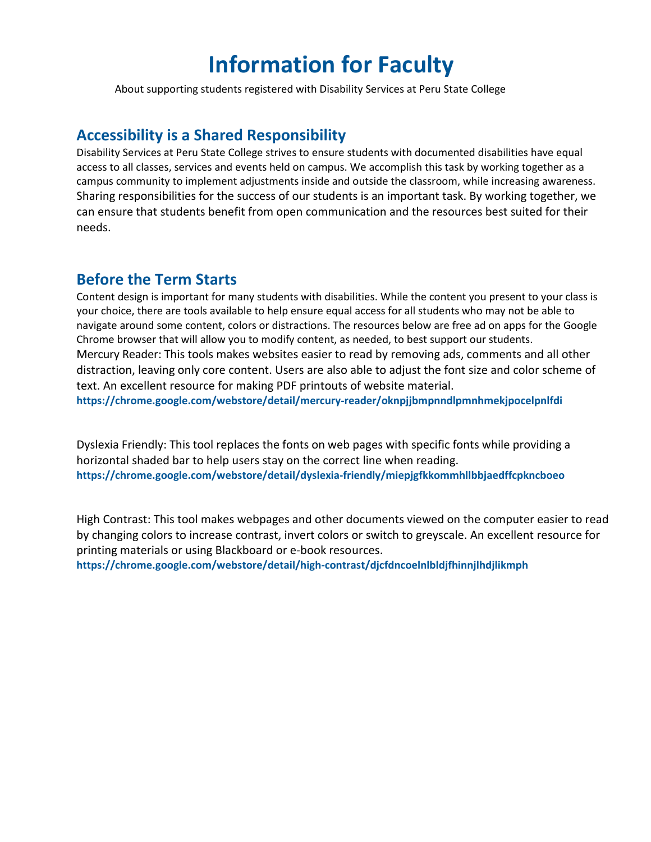# **Information for Faculty**

About supporting students registered with Disability Services at Peru State College

# **Accessibility is a Shared Responsibility**

Disability Services at Peru State College strives to ensure students with documented disabilities have equal access to all classes, services and events held on campus. We accomplish this task by working together as a campus community to implement adjustments inside and outside the classroom, while increasing awareness. Sharing responsibilities for the success of our students is an important task. By working together, we can ensure that students benefit from open communication and the resources best suited for their needs.

### **Before the Term Starts**

Content design is important for many students with disabilities. While the content you present to your class is your choice, there are tools available to help ensure equal access for all students who may not be able to navigate around some content, colors or distractions. The resources below are free ad on apps for the Google Chrome browser that will allow you to modify content, as needed, to best support our students. Mercury Reader: This tools makes websites easier to read by removing ads, comments and all other distraction, leaving only core content. Users are also able to adjust the font size and color scheme of text. An excellent resource for making PDF printouts of website material. **https://chrome.google.com/webstore/detail/mercury‐reader/oknpjjbmpnndlpmnhmekjpocelpnlfdi**

Dyslexia Friendly: This tool replaces the fonts on web pages with specific fonts while providing a horizontal shaded bar to help users stay on the correct line when reading. **https://chrome.google.com/webstore/detail/dyslexia‐friendly/miepjgfkkommhllbbjaedffcpkncboeo**

High Contrast: This tool makes webpages and other documents viewed on the computer easier to read by changing colors to increase contrast, invert colors or switch to greyscale. An excellent resource for printing materials or using Blackboard or e‐book resources.

**https://chrome.google.com/webstore/detail/high‐contrast/djcfdncoelnlbldjfhinnjlhdjlikmph**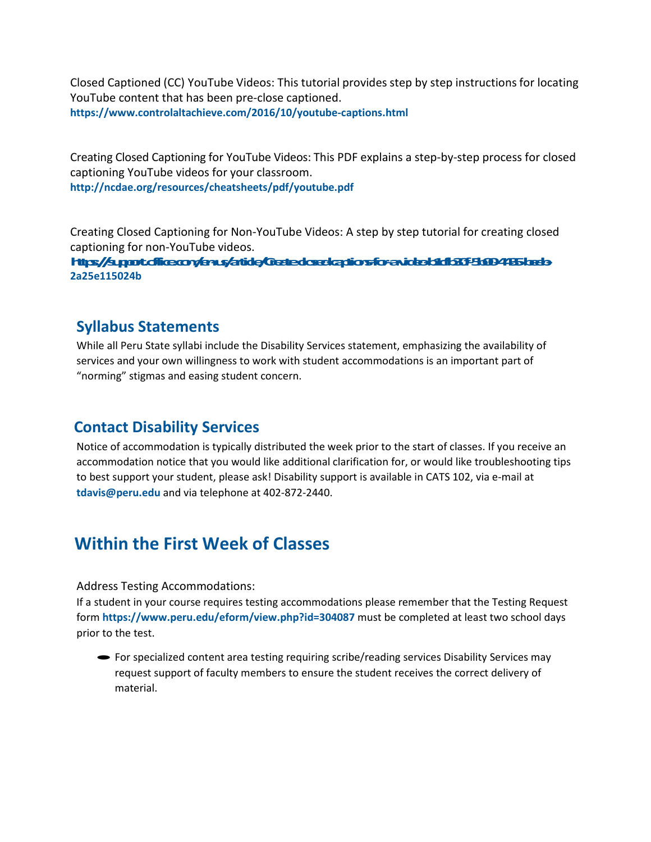Closed Captioned (CC) YouTube Videos: This tutorial provides step by step instructions for locating YouTube content that has been pre‐close captioned. **[https://www.controlaltachieve.com](http://www.controlaltachieve.com/2016/10/youtube)/20[16/10/youtube‐captions.html](http://www.controlaltachieve.com/2016/10/youtube)**

Creating Closed Captioning for YouTube Videos: This PDF explains a step‐by‐step process for closed captioning YouTube videos for your classroom. **<http://ncdae.org/resources/cheatsheets/pdf/youtube.pdf>**

Creating Closed Captioning for Non‐YouTube Videos: A step by step tutorial for creating closed captioning for non‐YouTube videos.

**https://support.office.com/enus/article/Createdoscologationsforen.ideoloid130f43004435/ards 2a25e115024b**

## **Syllabus Statements**

While all Peru State syllabi include the Disability Services statement, emphasizing the availability of services and your own willingness to work with student accommodations is an important part of "norming" stigmas and easing student concern.

# **Contact Disability Services**

Notice of accommodation is typically distributed the week prior to the start of classes. If you receive an accommodation notice that you would like additional clarification for, or would like troubleshooting tips to best support your student, please ask! Disability support is available in CATS 102, via e‐mail at **[tdavis@peru.edu](mailto:tdavis@peru.edu)** and via telephone at 402‐872‐2440.

# **Within the First Week of Classes**

### Address Testing Accommodations:

If a student in your course requires testing accommodations please remember that the Testing Request form **[https://www.peru.edu/eform/view.php?i](http://www.peru.edu/eform/view.php?id=304087)d=304087** must be completed at least two school days prior to the test.

·For specialized content area testing requiring scribe/reading services Disability Services may request support of faculty members to ensure the student receives the correct delivery of material.